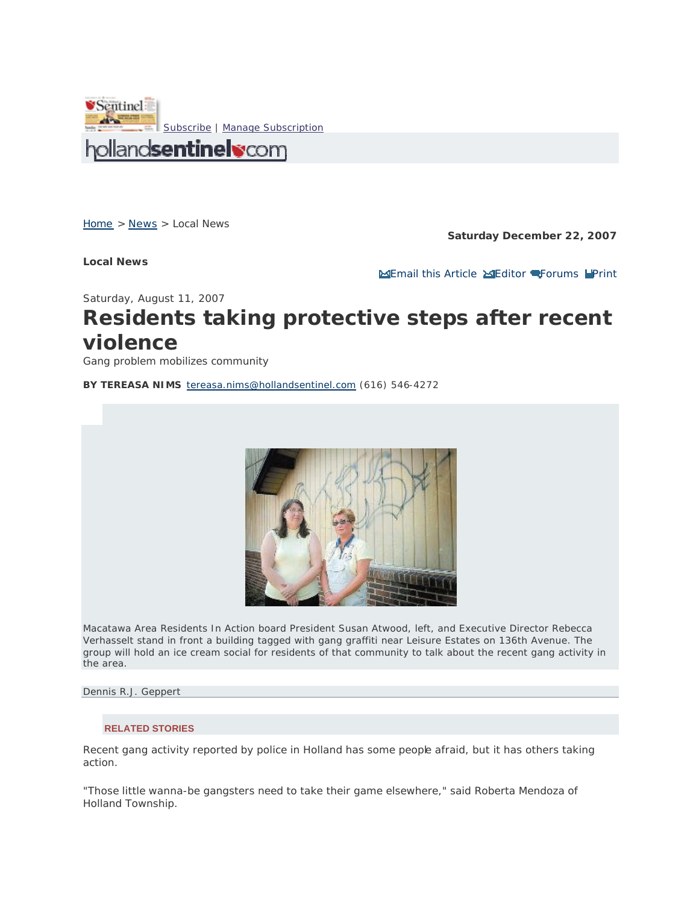

Home > News > Local News

**Local News**

**Saturday December 22, 2007**

**Email this Article Editor Forums Print** 

Saturday, August 11, 2007

## **Residents taking protective steps after recent violence**

*Gang problem mobilizes community*

**BY TEREASA NIMS** tereasa.nims@hollandsentinel.com (616) 546-4272



Macatawa Area Residents In Action board President Susan Atwood, left, and Executive Director Rebecca Verhasselt stand in front a building tagged with gang graffiti near Leisure Estates on 136th Avenue. The group will hold an ice cream social for residents of that community to talk about the recent gang activity in the area.

*Dennis R.J. Geppert*

## **RELATED STORIES**

Recent gang activity reported by police in Holland has some people afraid, but it has others taking action.

"Those little wanna-be gangsters need to take their game elsewhere," said Roberta Mendoza of Holland Township.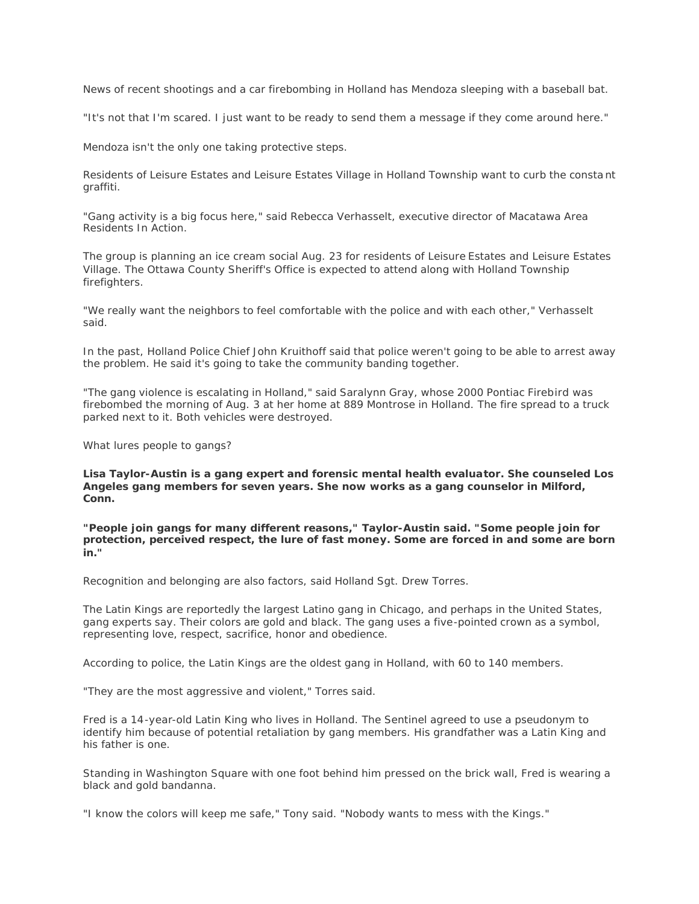News of recent shootings and a car firebombing in Holland has Mendoza sleeping with a baseball bat.

"It's not that I'm scared. I just want to be ready to send them a message if they come around here."

Mendoza isn't the only one taking protective steps.

Residents of Leisure Estates and Leisure Estates Village in Holland Township want to curb the consta nt graffiti.

"Gang activity is a big focus here," said Rebecca Verhasselt, executive director of Macatawa Area Residents In Action.

The group is planning an ice cream social Aug. 23 for residents of Leisure Estates and Leisure Estates Village. The Ottawa County Sheriff's Office is expected to attend along with Holland Township firefighters.

"We really want the neighbors to feel comfortable with the police and with each other," Verhasselt said.

In the past, Holland Police Chief John Kruithoff said that police weren't going to be able to arrest away the problem. He said it's going to take the community banding together.

"The gang violence is escalating in Holland," said Saralynn Gray, whose 2000 Pontiac Firebird was firebombed the morning of Aug. 3 at her home at 889 Montrose in Holland. The fire spread to a truck parked next to it. Both vehicles were destroyed.

What lures people to gangs?

**Lisa Taylor-Austin is a gang expert and forensic mental health evaluator. She counseled Los Angeles gang members for seven years. She now works as a gang counselor in Milford, Conn.** 

**"People join gangs for many different reasons," Taylor-Austin said. "Some people join for protection, perceived respect, the lure of fast money. Some are forced in and some are born in."** 

Recognition and belonging are also factors, said Holland Sgt. Drew Torres.

The Latin Kings are reportedly the largest Latino gang in Chicago, and perhaps in the United States, gang experts say. Their colors are gold and black. The gang uses a five-pointed crown as a symbol, representing love, respect, sacrifice, honor and obedience.

According to police, the Latin Kings are the oldest gang in Holland, with 60 to 140 members.

"They are the most aggressive and violent," Torres said.

Fred is a 14-year-old Latin King who lives in Holland. The Sentinel agreed to use a pseudonym to identify him because of potential retaliation by gang members. His grandfather was a Latin King and his father is one.

Standing in Washington Square with one foot behind him pressed on the brick wall, Fred is wearing a black and gold bandanna.

"I know the colors will keep me safe," Tony said. "Nobody wants to mess with the Kings."